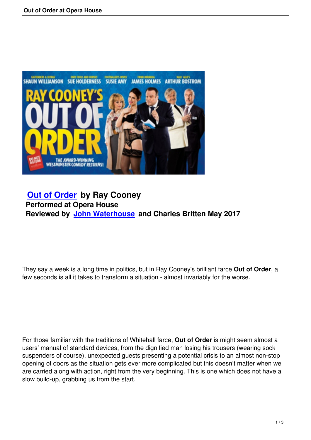

# **Out of Order by Ray Cooney Performed at Opera House [Reviewed by J](out-of-order.html)ohn Waterhouse and Charles Britten May 2017**

They say a week is a long time in politics, but in Ray Cooney's brilliant farce **Out of Order**, a few seconds is all it takes to transform a situation - almost invariably for the worse.

For those familiar with the traditions of Whitehall farce, **Out of Order** is might seem almost a users' manual of standard devices, from the dignified man losing his trousers (wearing sock suspenders of course), unexpected guests presenting a potential crisis to an almost non-stop opening of doors as the situation gets ever more complicated but this doesn't matter when we are carried along with action, right from the very beginning. This is one which does not have a slow build-up, grabbing us from the start.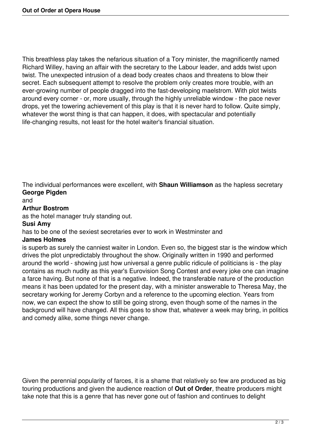This breathless play takes the nefarious situation of a Tory minister, the magnificently named Richard Willey, having an affair with the secretary to the Labour leader, and adds twist upon twist. The unexpected intrusion of a dead body creates chaos and threatens to blow their secret. Each subsequent attempt to resolve the problem only creates more trouble, with an ever-growing number of people dragged into the fast-developing maelstrom. With plot twists around every corner - or, more usually, through the highly unreliable window - the pace never drops, yet the towering achievement of this play is that it is never hard to follow. Quite simply, whatever the worst thing is that can happen, it does, with spectacular and potentially life-changing results, not least for the hotel waiter's financial situation.

The individual performances were excellent, with **Shaun Williamson** as the hapless secretary **George Pigden**

#### and

### **Arthur Bostrom**

as the hotel manager truly standing out.

### **Susi Amy**

has to be one of the sexiest secretaries ever to work in Westminster and

### **James Holmes**

is superb as surely the canniest waiter in London. Even so, the biggest star is the window which drives the plot unpredictably throughout the show. Originally written in 1990 and performed around the world - showing just how universal a genre public ridicule of politicians is - the play contains as much nudity as this year's Eurovision Song Contest and every joke one can imagine a farce having. But none of that is a negative. Indeed, the transferable nature of the production means it has been updated for the present day, with a minister answerable to Theresa May, the secretary working for Jeremy Corbyn and a reference to the upcoming election. Years from now, we can expect the show to still be going strong, even though some of the names in the background will have changed. All this goes to show that, whatever a week may bring, in politics and comedy alike, some things never change.

Given the perennial popularity of farces, it is a shame that relatively so few are produced as big touring productions and given the audience reaction of **Out of Order**, theatre producers might take note that this is a genre that has never gone out of fashion and continues to delight